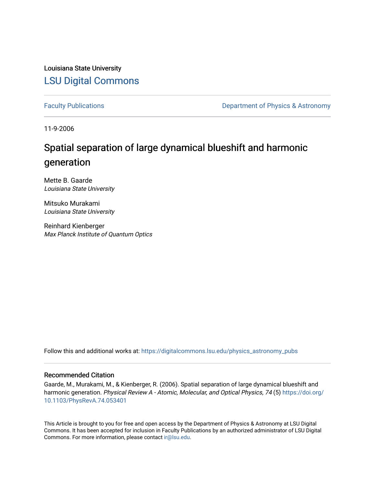Louisiana State University [LSU Digital Commons](https://digitalcommons.lsu.edu/)

[Faculty Publications](https://digitalcommons.lsu.edu/physics_astronomy_pubs) **Exercise 2 and Table 2 and Table 2 and Table 2 and Table 2 and Table 2 and Table 2 and Table 2 and Table 2 and Table 2 and Table 2 and Table 2 and Table 2 and Table 2 and Table 2 and Table 2 and Table** 

11-9-2006

## Spatial separation of large dynamical blueshift and harmonic generation

Mette B. Gaarde Louisiana State University

Mitsuko Murakami Louisiana State University

Reinhard Kienberger Max Planck Institute of Quantum Optics

Follow this and additional works at: [https://digitalcommons.lsu.edu/physics\\_astronomy\\_pubs](https://digitalcommons.lsu.edu/physics_astronomy_pubs?utm_source=digitalcommons.lsu.edu%2Fphysics_astronomy_pubs%2F2146&utm_medium=PDF&utm_campaign=PDFCoverPages) 

## Recommended Citation

Gaarde, M., Murakami, M., & Kienberger, R. (2006). Spatial separation of large dynamical blueshift and harmonic generation. Physical Review A - Atomic, Molecular, and Optical Physics, 74 (5) [https://doi.org/](https://doi.org/10.1103/PhysRevA.74.053401) [10.1103/PhysRevA.74.053401](https://doi.org/10.1103/PhysRevA.74.053401)

This Article is brought to you for free and open access by the Department of Physics & Astronomy at LSU Digital Commons. It has been accepted for inclusion in Faculty Publications by an authorized administrator of LSU Digital Commons. For more information, please contact [ir@lsu.edu](mailto:ir@lsu.edu).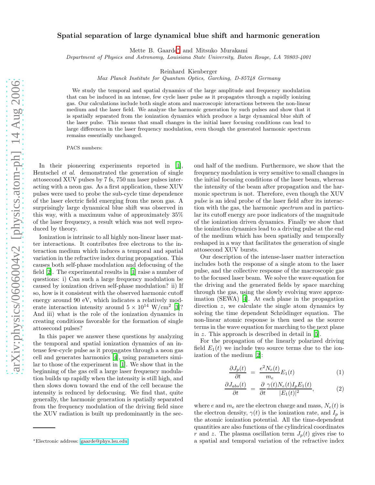## Spatial separation of large dynamical blue shift and harmonic generation

Mette B. Gaarde[∗](#page-1-0) and Mitsuko Murakami

Department of Physics and Astronomy, Louisiana State University, Baton Rouge, LA 70803-4001

Reinhard Kienberger

Max Planck Institute for Quantum Optics, Garching, D-85748 Germany

We study the temporal and spatial dynamics of the large amplitude and frequency modulation that can be induced in an intense, few cycle laser pulse as it propagates through a rapidly ionizing gas. Our calculations include both single atom and macroscopic interactions between the non-linear medium and the laser field. We analyze the harmonic generation by such pulses and show that it is spatially separated from the ionization dynamics which produce a large dynamical blue shift of the laser pulse. This means that small changes in the initial laser focusing conditions can lead to large differences in the laser frequency modulation, even though the generated harmonic spectrum remains essentially unchanged.

PACS numbers:

In their pioneering experiments reported in [\[1\]](#page-4-0), Hentschel et al. demonstrated the generation of single attosecond XUV pulses by 7 fs, 750 nm laser pulses interacting with a neon gas. As a first application, these XUV pulses were used to probe the sub-cycle time dependence of the laser electric field emerging from the neon gas. A surprisingly large dynamical blue shift was observed in this way, with a maximum value of approximately 35% of the laser frequency, a result which was not well reproduced by theory.

Ionization is intrinsic to all highly non-linear laser matter interactions. It contributes free electrons to the interaction medium which induces a temporal and spatial variation in the refractive index during propagation. This causes both self-phase modulation and defocusing of the field [\[2\]](#page-4-1). The experimental results in [\[1](#page-4-0)] raise a number of questions: i) Can such a large frequency modulation be caused by ionization driven self-phase modulation? ii) If so, how is it consistent with the observed harmonic cutoff energy around 90 eV, which indicates a relatively moderate interaction intensity around  $5 \times 10^{14}$  W/cm<sup>2</sup> [\[3\]](#page-4-2)? And iii) what is the role of the ionization dynamics in creating conditions favorable for the formation of single attosecond pulses?

In this paper we answer these questions by analyzing the temporal and spatial ionization dynamics of an intense few-cycle pulse as it propagates through a neon gas cell and generates harmonics [\[4\]](#page-4-3), using parameters similar to those of the experiment in [\[1\]](#page-4-0). We show that in the beginning of the gas cell a large laser frequency modulation builds up rapidly when the intensity is still high, and then slows down toward the end of the cell because the intensity is reduced by defocusing. We find that, quite generally, the harmonic generation is spatially separated from the frequency modulation of the driving field since the XUV radiation is built up predominantly in the second half of the medium. Furthermore, we show that the frequency modulation is very sensitive to small changes in the initial focusing conditions of the laser beam, whereas the intensity of the beam after propagation and the harmonic spectrum is not. Therefore, even though the XUV pulse is an ideal probe of the laser field after its interaction with the gas, the harmonic spectrum and in particular its cutoff energy are poor indicators of the magnitude of the ionization driven dynamics. Finally we show that the ionization dynamics lead to a driving pulse at the end of the medium which has been spatially and temporally reshaped in a way that facilitates the generation of single attosecond XUV bursts.

Our description of the intense-laser matter interaction includes both the response of a single atom to the laser pulse, and the collective response of the macroscopic gas to the focused laser beam. We solve the wave equation for the driving and the generated fields by space marching through the gas, using the slowly evolving wave approximation (SEWA) [\[4\]](#page-4-3). At each plane in the propagation direction z, we calculate the single atom dynamics by solving the time dependent Schrödinger equation. The non-linear atomic response is then used as the source terms in the wave equation for marching to the next plane in z. This approach is described in detail in [\[5](#page-4-4)].

For the propagation of the linearly polarized driving field  $E_1(t)$  we include two source terms due to the ionization of the medium [\[2](#page-4-1)]:

$$
\frac{\partial J_p(t)}{\partial t} = \frac{e^2 N_e(t)}{m_e} E_1(t) \tag{1}
$$

$$
\frac{\partial J_{abs}(t)}{\partial t} = \frac{\partial}{\partial t} \frac{\gamma(t) N_e(t) I_p E_1(t)}{|E_1(t)|^2},\tag{2}
$$

where e and  $m_e$  are the electron charge and mass,  $N_e(t)$  is the electron density,  $\gamma(t)$  is the ionization rate, and  $I_p$  is the atomic ionization potential. All the time-dependent quantities are also functions of the cylindrical coordinates r and z. The plasma oscillation term  $J_p(t)$  gives rise to a spatial and temporal variation of the refractive index

<span id="page-1-0"></span><sup>∗</sup>Electronic address: [gaarde@phys.lsu.edu](mailto:gaarde@phys.lsu.edu)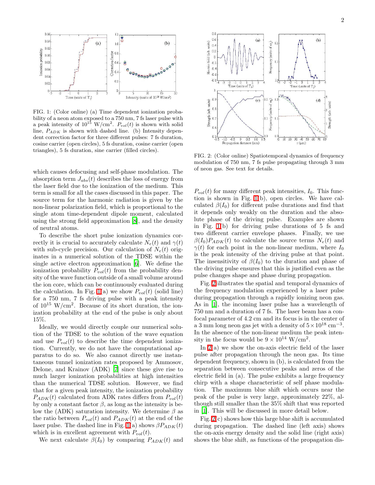

<span id="page-2-0"></span>FIG. 1: (Color online) (a) Time dependent ionization probability of a neon atom exposed to a 750 nm, 7 fs laser pulse with a peak intensity of  $10^{15}$  W/cm<sup>2</sup>.  $P_{vol}(t)$  is shown with solid line,  $P_{ADK}$  is shown with dashed line. (b) Intensity dependent correction factor for three different pulses: 7 fs duration, cosine carrier (open circles), 5 fs duration, cosine carrier (open triangles), 5 fs duration, sine carrier (filled circles).

which causes defocusing and self-phase modulation. The absorption term  $J_{abs}(t)$  describes the loss of energy from the laser field due to the ionization of the medium. This term is small for all the cases discussed in this paper. The source term for the harmonic radiation is given by the non-linear polarization field, which is proportional to the single atom time-dependent dipole moment, calculated using the strong field approximation [\[8\]](#page-4-5), and the density of neutral atoms.

To describe the short pulse ionization dynamics correctly it is crucial to accurately calculate  $N_e(t)$  and  $\gamma(t)$ with sub-cycle precision. Our calculation of  $N_e(t)$  originates in a numerical solution of the TDSE within the single active electron approximation [\[6](#page-4-6)]. We define the ionization probability  $P_{vol}(t)$  from the probability density of the wave function outside of a small volume around the ion core, which can be continuously evaluated during the calculation. In Fig. [1\(](#page-2-0)a) we show  $P_{vol}(t)$  (solid line) for a 750 nm, 7 fs driving pulse with a peak intensity of  $10^{15}$  W/cm<sup>2</sup>. Because of its short duration, the ionization probability at the end of the pulse is only about 15%.

Ideally, we would directly couple our numerical solution of the TDSE to the solution of the wave equation and use  $P_{vol}(t)$  to describe the time dependent ionization. Currently, we do not have the computational apparatus to do so. We also cannot directly use instantaneous tunnel ionization rates proposed by Ammosov, Delone, and Krainov (ADK) [\[7\]](#page-4-7) since these give rise to much larger ionization probabilities at high intensities than the numerical TDSE solution. However, we find that for a given peak intensity, the ionization probability  $P_{ADK}(t)$  calculated from ADK rates differs from  $P_{vol}(t)$ by only a constant factor  $\beta$ , as long as the intensity is below the (ADK) saturation intensity. We determine  $\beta$  as the ratio between  $P_{vol}(t)$  and  $P_{ADK}(t)$  at the end of the laser pulse. The dashed line in Fig. [1\(](#page-2-0)a) shows  $\beta P_{ADK}(t)$ which is in excellent agreement with  $P_{vol}(t)$ .

We next calculate  $\beta(I_0)$  by comparing  $P_{ADK}(t)$  and



<span id="page-2-1"></span>FIG. 2: (Color online) Spatiotemporal dynamics of frequency modulation of 750 nm, 7 fs pulse propagating through 3 mm of neon gas. See text for details.

 $P_{vol}(t)$  for many different peak intensities,  $I_0$ . This function is shown in Fig. [1\(](#page-2-0)b), open circles. We have calculated  $\beta(I_0)$  for different pulse durations and find that it depends only weakly on the duration and the absolute phase of the driving pulse. Examples are shown in Fig. [1\(](#page-2-0)b) for driving pulse durations of 5 fs and two different carrier envelope phases. Finally, we use  $\beta(I_0)P_{ADK}(t)$  to calculate the source terms  $N_e(t)$  and  $\gamma(t)$  for each point in the non-linear medium, where  $I_0$ is the peak intensity of the driving pulse at that point. The insensitivity of  $\beta(I_0)$  to the duration and phase of the driving pulse ensures that this is justified even as the pulse changes shape and phase during propagation.

Fig. [2](#page-2-1) illustrates the spatial and temporal dynamics of the frequency modulation experienced by a laser pulse during propagation through a rapidly ionizing neon gas. As in [\[1\]](#page-4-0), the incoming laser pulse has a wavelength of 750 nm and a duration of 7 fs. The laser beam has a confocal parameter of 4.2 cm and its focus is in the center of a 3 mm long neon gas jet with a density of  $5 \times 10^{18}$  cm<sup>-3</sup>. In the absence of the non-linear medium the peak intensity in the focus would be  $9 \times 10^{14} \text{ W/cm}^2$ .

In  $2(a)$  we show the on-axis electric field of the laser pulse after propagation through the neon gas. Its time dependent frequency, shown in (b), is calculated from the separation between consecutive peaks and zeros of the electric field in (a). The pulse exhibits a large frequency chirp with a shape characteristic of self phase modulation. The maximum blue shift which occurs near the peak of the pulse is very large, approximately 22%, although still smaller than the 35% shift that was reported in [\[1](#page-4-0)]. This will be discussed in more detail below.

Fig.  $2(c)$  shows how this large blue shift is accumulated during propagation. The dashed line (left axis) shows the on-axis energy density and the solid line (right axis) shows the blue shift, as functions of the propagation dis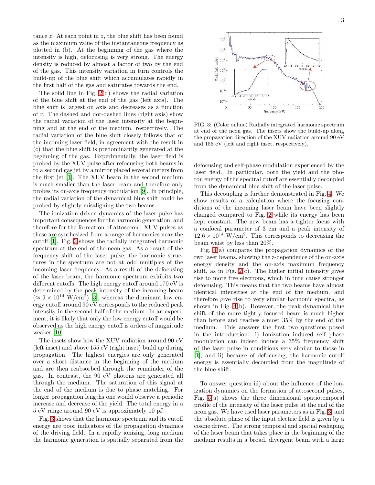tance  $z$ . At each point in  $z$ , the blue shift has been found as the maximum value of the instantaneous frequency as plotted in (b). At the beginning of the gas where the intensity is high, defocusing is very strong. The energy density is reduced by almost a factor of two by the end of the gas. This intensity variation in turn controls the build-up of the blue shift which accumulates rapidly in the first half of the gas and saturates towards the end.

The solid line in Fig. [2\(](#page-2-1)d) shows the radial variation of the blue shift at the end of the gas (left axis). The blue shift is largest on axis and decreases as a function of r. The dashed and dot-dashed lines (right axis) show the radial variation of the laser intensity at the beginning and at the end of the medium, respectively. The radial variation of the blue shift closely follows that of the incoming laser field, in agreement with the result in (c) that the blue shift is predominantly generated at the beginning of the gas. Experimentally, the laser field is probed by the XUV pulse after refocusing both beams in to a second gas jet by a mirror placed several meters from the first jet [\[1\]](#page-4-0). The XUV beam in the second medium is much smaller than the laser beam and therefore only probes its on-axis frequency modulation [\[9\]](#page-4-8). In principle, the radial variation of the dynamical blue shift could be probed by slightly misaligning the two beams.

The ionization driven dynamics of the laser pulse has important consequences for the harmonic generation, and therefore for the formation of attosecond XUV pulses as these are synthesized from a range of harmonics near the cutoff [\[1\]](#page-4-0). Fig. [3](#page-3-0) shows the radially integrated harmonic spectrum at the end of the neon gas. As a result of the frequency shift of the laser pulse, the harmonic structures in the spectrum are not at odd multiples of the incoming laser frequency. As a result of the defocusing of the laser beam, the harmonic spectrum exhibits two different cutoffs. The high energy cutoff around 170 eV is determined by the peak intensity of the incoming beam  $(\approx 9 \times 10^{14} \text{ W/cm}^2)$  [\[3\]](#page-4-2), whereas the dominant low energy cutoff around 90 eV corresponds to the reduced peak intensity in the second half of the medium. In an experiment, it is likely that only the low energy cutoff would be observed as the high energy cutoff is orders of magnitude weaker [\[10\]](#page-4-9).

The insets show how the XUV radiation around 90 eV (left inset) and above 155 eV (right inset) build up during propagation. The highest energies are only generated over a short distance in the beginning of the medium and are then reabsorbed through the remainder of the gas. In contrast, the 90 eV photons are generated all through the medium. The saturation of this signal at the end of the medium is due to phase matching. For longer propagation lengths one would observe a periodic increase and decrease of the yield. The total energy in a 5 eV range around 90 eV is approximately 10 pJ.

Fig. [3](#page-3-0) shows that the harmonic spectrum and its cutoff energy are poor indicators of the propagation dynamics of the driving field. In a rapidly ionizing, long medium the harmonic generation is spatially separated from the



<span id="page-3-0"></span>FIG. 3: (Color online) Radially integrated harmonic spectrum at end of the neon gas. The insets show the build-up along the propagation direction of the XUV radiation around 90 eV and 155 eV (left and right inset, respectively).

defocusing and self-phase modulation experienced by the laser field. In particular, both the yield and the photon energy of the spectral cutoff are essentially decoupled from the dynamical blue shift of the laser pulse.

This decoupling is further demonstrated in Fig. [4.](#page-4-10) We show results of a calculation where the focusing conditions of the incoming laser beam have been slightly changed compared to Fig. [2](#page-2-1) while its energy has been kept constant. The new beam has a tighter focus with a confocal parameter of 3 cm and a peak intensity of  $12.6 \times 10^{14}$  W/cm<sup>2</sup>. This corresponds to decreasing the beam waist by less than 20%.

Fig. [4\(](#page-4-10)a) compares the propagation dynamics of the two laser beams, showing the z-dependence of the on-axis energy density and the on-axis maximum frequency shift, as in Fig.  $2(c)$ . The higher initial intensity gives rise to more free electrons, which in turn cause stronger defocusing. This means that the two beams have almost identical intensities at the end of the medium, and therefore give rise to very similar harmonic spectra, as shown in Fig. [4\(](#page-4-10)b). However, the peak dynamical blue shift of the more tightly focused beam is much higher than before and reaches almost 35% by the end of the medium. This answers the first two questions posed in the introduction: i) Ionization induced self phase modulation can indeed induce a 35% frequency shift of the laser pulse in conditions very similar to those in [\[1\]](#page-4-0), and ii) because of defocusing, the harmonic cutoff energy is essentially decoupled from the magnitude of the blue shift.

To answer question iii) about the influence of the ionization dynamics on the formation of attosecond pulses, Fig. [5\(](#page-4-11)a) shows the three dimensional spatiotemporal profile of the intensity of the laser pulse at the end of the neon gas. We have used laser parameters as in Fig. [3,](#page-3-0) and the absolute phase of the input electric field is given by a cosine driver. The strong temporal and spatial reshaping of the laser beam that takes place in the beginning of the medium results in a broad, divergent beam with a large